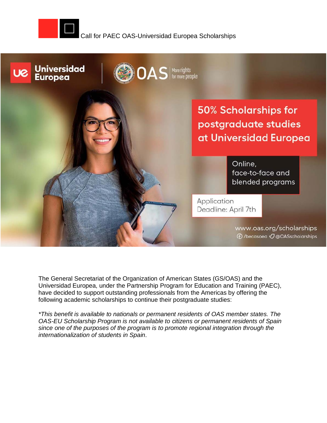



The General Secretariat of the Organization of American States (GS/OAS) and the Universidad Europea, under the Partnership Program for Education and Training (PAEC), have decided to support outstanding professionals from the Americas by offering the following academic scholarships to continue their postgraduate studies:

*\*This benefit is available to nationals or permanent residents [of OAS member states.](https://www.oas.org/es/estados_miembros/default.asp) The OAS-EU Scholarship Program is not available to citizens or permanent residents of Spain since one of the purposes of the program is to promote regional integration through the internationalization of students in Spain.*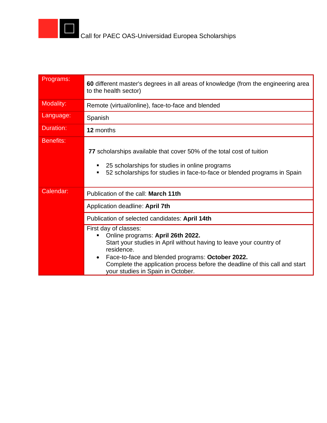

| Programs:        | 60 different master's degrees in all areas of knowledge (from the engineering area<br>to the health sector)                                                                                                                                                                                                                               |
|------------------|-------------------------------------------------------------------------------------------------------------------------------------------------------------------------------------------------------------------------------------------------------------------------------------------------------------------------------------------|
| Modality:        | Remote (virtual/online), face-to-face and blended                                                                                                                                                                                                                                                                                         |
| Language:        | Spanish                                                                                                                                                                                                                                                                                                                                   |
| Duration:        | 12 months                                                                                                                                                                                                                                                                                                                                 |
| <b>Benefits:</b> | 77 scholarships available that cover 50% of the total cost of tuition<br>25 scholarships for studies in online programs<br>52 scholarships for studies in face-to-face or blended programs in Spain<br>٠                                                                                                                                  |
| Calendar:        | Publication of the call: March 11th                                                                                                                                                                                                                                                                                                       |
|                  | Application deadline: April 7th                                                                                                                                                                                                                                                                                                           |
|                  | Publication of selected candidates: April 14th                                                                                                                                                                                                                                                                                            |
|                  | First day of classes:<br>Online programs: April 26th 2022.<br>п<br>Start your studies in April without having to leave your country of<br>residence.<br>Face-to-face and blended programs: October 2022.<br>$\bullet$<br>Complete the application process before the deadline of this call and start<br>your studies in Spain in October. |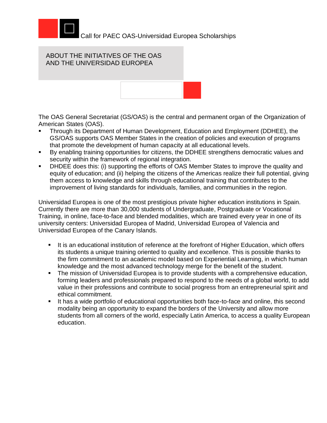

## ABOUT THE INITIATIVES OF THE OAS AND THE UNIVERSIDAD EUROPEA



The OAS General Secretariat (GS/OAS) is the central and permanent organ of the Organization of American States (OAS).

- Through its Department of Human Development, Education and Employment (DDHEE), the GS/OAS supports OAS Member States in the creation of policies and execution of programs that promote the development of human capacity at all educational levels.
- By enabling training opportunities for citizens, the DDHEE strengthens democratic values and security within the framework of regional integration.
- DHDEE does this: (i) supporting the efforts of OAS Member States to improve the quality and equity of education; and (ii) helping the citizens of the Americas realize their full potential, giving them access to knowledge and skills through educational training that contributes to the improvement of living standards for individuals, families, and communities in the region.

Universidad Europea is one of the most prestigious private higher education institutions in Spain. Currently there are more than 30,000 students of Undergraduate, Postgraduate or Vocational Training, in online, face-to-face and blended modalities, which are trained every year in one of its university centers: Universidad Europea of Madrid, Universidad Europea of Valencia and Universidad Europea of the Canary Islands.

- **.** It is an educational institution of reference at the forefront of Higher Education, which offers its students a unique training oriented to quality and excellence. This is possible thanks to the firm commitment to an academic model based on Experiential Learning, in which human knowledge and the most advanced technology merge for the benefit of the student.
- **The mission of Universidad Europea is to provide students with a comprehensive education,** forming leaders and professionals prepared to respond to the needs of a global world, to add value in their professions and contribute to social progress from an entrepreneurial spirit and ethical commitment.
- It has a wide portfolio of educational opportunities both face-to-face and online, this second modality being an opportunity to expand the borders of the University and allow more students from all corners of the world, especially Latin America, to access a quality European education.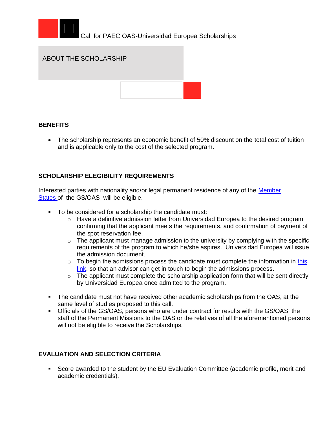



### **BENEFITS**

• The scholarship represents an economic benefit of 50% discount on the total cost of tuition and is applicable only to the cost of the selected program.

### **SCHOLARSHIP ELEGIBILITY REQUIREMENTS**

Interested parties with nationality and/or legal permanent residence of any of the Member [States](https://www.oas.org/en/about/member_states.asp) of the GS/OAS will be eligible.

- To be considered for a scholarship the candidate must:
	- o Have a definitive admission letter from Universidad Europea to the desired program confirming that the applicant meets the requirements, and confirmation of payment of the spot reservation fee.
	- $\circ$  The applicant must manage admission to the university by complying with the specific requirements of the program to which he/she aspires. Universidad Europea will issue the admission document.
	- $\circ$  To begin the admissions process the candidate must complete the information in this [link,](https://estudiar.universidadeuropea.com/becas-oea-latinoamerica/?utm_source=oea&utm_medium=referral&utm_campaign=BECAS_OEA&utm_content=partnership&uecrm=7017U000000Li7KQAS) so that an advisor can get in touch to begin the admissions process.
	- $\circ$  The applicant must complete the scholarship application form that will be sent directly by Universidad Europea once admitted to the program.
- The candidate must not have received other academic scholarships from the OAS, at the same level of studies proposed to this call.
- Officials of the GS/OAS, persons who are under contract for results with the GS/OAS, the staff of the Permanent Missions to the OAS or the relatives of all the aforementioned persons will not be eligible to receive the Scholarships.

### **EVALUATION AND SELECTION CRITERIA**

▪ Score awarded to the student by the EU Evaluation Committee (academic profile, merit and academic credentials).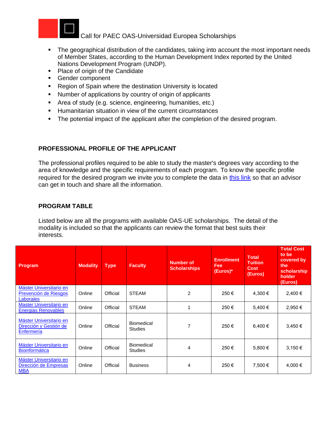

- The geographical distribution of the candidates, taking into account the most important needs of Member States, according to the Human Development Index reported by the United Nations Development Program (UNDP).
- Place of origin of the Candidate
- Gender component
- Region of Spain where the destination University is located
- Number of applications by country of origin of applicants
- Area of study (e.g. science, engineering, humanities, etc.)
- Humanitarian situation in view of the current circumstances
- The potential impact of the applicant after the completion of the desired program.

# **PROFESSIONAL PROFILE OF THE APPLICANT**

The professional profiles required to be able to study the master's degrees vary according to the area of knowledge and the specific requirements of each program. To know the specific profile required for the desired program we invite you to complete the data in [this link](https://estudiar.universidadeuropea.com/becas-oea-latinoamerica/?utm_source=oea&utm_medium=referral&utm_campaign=BECAS_OEA&utm_content=partnership&uecrm=7017U000000Li7KQAS) so that an advisor can get in touch and share all the information.

# **PROGRAM TABLE**

Listed below are all the programs with available OAS-UE scholarships. The detail of the modality is included so that the applicants can review the format that best suits their interests.

| Program                                                              | Modality | <b>Type</b> | <b>Faculty</b>                      | <b>Number of</b><br><b>Scholarships</b> | <b>Enrollment</b><br><b>Fee</b><br>(Euros)* | <b>Total</b><br><b>Tuition</b><br><b>Cost</b><br>(Euros) | <b>Total Cost</b><br>to be<br>covered by<br>the<br>scholarship<br>holder<br>(Euros) |
|----------------------------------------------------------------------|----------|-------------|-------------------------------------|-----------------------------------------|---------------------------------------------|----------------------------------------------------------|-------------------------------------------------------------------------------------|
| Máster Universitario en<br>Prevención de Riesgos<br><b>Laborales</b> | Online   | Official    | <b>STEAM</b>                        | 2                                       | 250€                                        | 4,300 €                                                  | 2,400 €                                                                             |
| Master Universitario en<br><b>Energias Renovables</b>                | Online   | Official    | <b>STEAM</b>                        |                                         | 250€                                        | 5.400 €                                                  | 2,950 €                                                                             |
| Máster Universitario en<br>Dirección y Gestión de<br>Enfermería      | Online   | Official    | <b>Biomedical</b><br><b>Studies</b> | 7                                       | 250€                                        | 6,400 €                                                  | 3,450 €                                                                             |
| Máster Universitario en<br><b>Bioinformática</b>                     | Online   | Official    | <b>Biomedical</b><br><b>Studies</b> | 4                                       | 250€                                        | 5,800 €                                                  | $3,150 \in$                                                                         |
| Máster Universitario en<br>Dirección de Empresas<br><b>MBA</b>       | Online   | Official    | <b>Business</b>                     | 4                                       | 250€                                        | 7,500 €                                                  | 4,000 €                                                                             |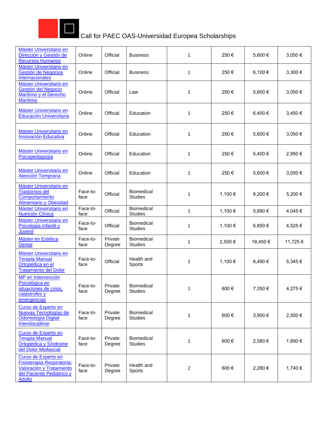

| Máster Universitario en<br>Dirección y Gestión de<br><b>Recursos Humanos</b>                                                | Online           | Official          | <b>Business</b>                     | 1              | 250€    | 5,600€  | 3,050€  |
|-----------------------------------------------------------------------------------------------------------------------------|------------------|-------------------|-------------------------------------|----------------|---------|---------|---------|
| Máster Universitario en<br>Gestión de Negocios<br>Internacionales                                                           | Online           | Official          | <b>Business</b>                     | 1              | 250€    | 6,100€  | 3,300 € |
| Máster Universitario en<br>Gestión del Negocio<br>Marítimo y el Derecho<br><b>Marítimo</b>                                  | Online           | Official          | Law                                 | 1              | 250€    | 5,600€  | 3,050€  |
| Máster Universitario en<br>Educación Universitaria                                                                          | Online           | Official          | Education                           | 1              | 250€    | 6,400€  | 3,450€  |
| Máster Universitario en<br>Innovación Educativa                                                                             | Online           | Official          | Education                           | 1              | 250€    | 5,600 € | 3,050€  |
| Máster Universitario en<br>Psicopedagogía                                                                                   | Online           | Official          | Education                           | 1              | 250€    | 5,400 € | 2,950€  |
| Máster Universitario en<br>Atención Temprana                                                                                | Online           | Official          | Education                           | 1              | 250€    | 5,600 € | 3,050€  |
| Máster Universitario en<br><b>Trastornos del</b><br>Comportamiento<br><b>Alimentario y Obesidad</b>                         | Face-to-<br>face | Official          | Biomedical<br><b>Studies</b>        | 1              | 1,100 € | 8,200€  | 5,200€  |
| Máster Universitario en<br><b>Nutrición Clínica</b>                                                                         | Face-to-<br>face | Official          | Biomedical<br><b>Studies</b>        | 1              | 1,100 € | 5,890€  | 4,045€  |
| Máster Universitario en<br>Psicología Infantil y<br>Juvenil                                                                 | Face-to-<br>face | Official          | Biomedical<br><b>Studies</b>        | 1              | 1,100 € | 6,850€  | 4,525€  |
| Máster en Estética<br>Dental                                                                                                | Face-to-<br>face | Private<br>Degree | Biomedical<br><b>Studies</b>        | 1              | 2,500 € | 18,450€ | 11,725€ |
| Máster Universitario en<br><b>Terapia Manual</b><br>Ortopédica en el<br><b>Tratamiento del Dolor</b>                        | Face-to-<br>face | Official          | Health and<br>Sports                | 1              | 1,100 € | 8,490€  | 5,345€  |
| MP en Intervención<br>Psicológica en<br>situaciones de crisis,<br>catástrofes y<br>emergencias                              | Face-to-<br>face | Private<br>Degree | <b>Biomedical</b><br><b>Studies</b> | 1              | 600€    | 7,350 € | 4,275 € |
| Curso de Experto en<br>Nuevas Tecnologías de<br>Odontología Digital<br>Interdisciplinar                                     | Face-to-<br>face | Private<br>Degree | Biomedical<br><b>Studies</b>        | 1              | 600€    | 3,900 € | 2,550€  |
| Curso de Experto en<br><b>Terapia Manual</b><br>Ortopédica y Síndrome<br>del Dolor Miofascial                               | Face-to-<br>face | Private<br>Degree | Biomedical<br><b>Studies</b>        | 1              | 600€    | 2,580€  | 1,890€  |
| Curso de Experto en<br>Fisioterapia Respiratoria:<br>Valoración y Tratamiento<br>del Paciente Pediátrico y<br><b>Adulto</b> | Face-to-<br>face | Private<br>Degree | Health and<br>Sports                | $\overline{c}$ | 600€    | 2,280 € | 1,740 € |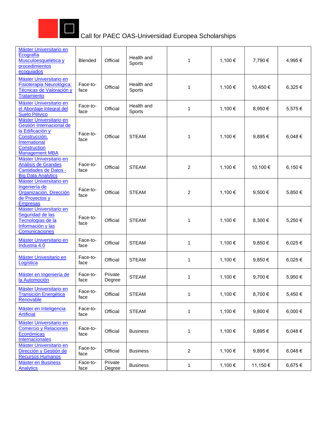

| Máster Universitario en<br>Ecografía<br>Musculoesquelética y<br>procedimientos<br>ecoguiados                                                              | <b>Blended</b>   | Official          | Health and<br>Sports | 1              | 1,100 € | 7,790 €  | 4,995€ |
|-----------------------------------------------------------------------------------------------------------------------------------------------------------|------------------|-------------------|----------------------|----------------|---------|----------|--------|
| Máster Universitario en<br>Fisioterapia Neurológica:<br>Técnicas de Valoración y<br><b>Tratamiento</b>                                                    | Face-to-<br>face | Official          | Health and<br>Sports | 1              | 1,100 € | 10,450€  | 6,325€ |
| Máster Universitario en<br>el Abordaje Integral del<br><b>Suelo Pélvico</b>                                                                               | Face-to-<br>face | Official          | Health and<br>Sports | 1              | 1,100 € | 8,950 €  | 5,575€ |
| Máster Universitario en<br>Gestión Internacional de<br>la Edificación y<br>Construcción.<br>International<br><b>Construction</b><br><b>Management MBA</b> | Face-to-<br>face | Official          | <b>STEAM</b>         | 1              | 1,100 € | 9,895€   | 6,048€ |
| Máster Universitario en<br>Análisis de Grandes<br>Cantidades de Datos -<br><b>Big Data Analytics</b>                                                      | Face-to-<br>face | Official          | <b>STEAM</b>         | $\overline{2}$ | 1,100 € | 10,100 € | 6,150€ |
| Máster Universitario en<br>Ingeniería de<br>Organización, Dirección<br>de Proyectos y<br><b>Empresas</b>                                                  | Face-to-<br>face | Official          | <b>STEAM</b>         | 2              | 1,100 € | 9,500€   | 5,850€ |
| Máster Universitario en<br>Seguridad de las<br>Tecnologías de la<br>Información y las<br>Comunicaciones                                                   | Face-to-<br>face | Official          | <b>STEAM</b>         | 1              | 1,100 € | 8,300 €  | 5,250€ |
| Máster Universitario en<br>Industria 4.0                                                                                                                  | Face-to-<br>face | Official          | <b>STEAM</b>         | 1              | 1,100 € | 9,850€   | 6,025€ |
| Máster Univesitario en<br>Logística                                                                                                                       | Face-to-<br>face | Official          | <b>STEAM</b>         | 1              | 1,100 € | 9,850€   | 6,025€ |
| Máster en Ingeniería de<br>la Automoción                                                                                                                  | Face-to-<br>face | Private<br>Degree | <b>STEAM</b>         | 1              | 1,100 € | 9.700 €  | 5,950€ |
| Máster Universitario en<br><b>Transición Energética</b><br>Renovable                                                                                      | Face-to-<br>face | Official          | <b>STEAM</b>         | 1              | 1,100 € | 8,700 €  | 5,450€ |
| Máster en Inteligencia<br><b>Artificial</b>                                                                                                               | Face-to-<br>face | Official          | <b>STEAM</b>         | 1              | 1,100 € | 9,800€   | 6,000€ |
| Máster Universitario en<br><b>Comercio y Relaciones</b><br>Económicas<br><b>Internacionales</b>                                                           | Face-to-<br>face | Official          | <b>Business</b>      | 1              | 1,100 € | 9,895€   | 6,048€ |
| Máster Universitario en<br>Dirección y Gestión de<br><b>Recursos Humanos</b>                                                                              | Face-to-<br>face | Official          | <b>Business</b>      | 2              | 1,100 € | 9,895€   | 6,048€ |
| Máster en Business<br><b>Analytics</b>                                                                                                                    | Face-to-<br>face | Private<br>Degree | <b>Business</b>      | 1              | 1,100 € | 11,150 € | 6,675€ |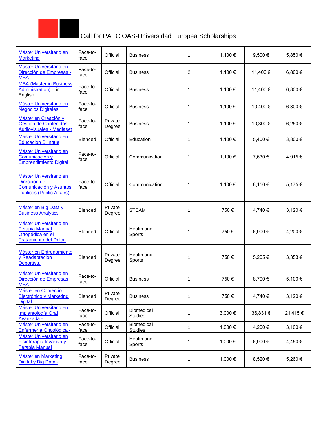

| Máster Universitario en<br><b>Marketing</b>                                                    | Face-to-<br>face | Official          | <b>Business</b>              | 1 | 1,100 € | 9,500 €  | 5,850€  |
|------------------------------------------------------------------------------------------------|------------------|-------------------|------------------------------|---|---------|----------|---------|
| Máster Universitario en<br>Dirección de Empresas -<br><b>MBA</b>                               | Face-to-<br>face | Official          | <b>Business</b>              | 2 | 1,100 € | 11,400 € | 6,800€  |
| <b>MBA (Master in Business)</b><br>Administration) - in<br>English                             | Face-to-<br>face | Official          | <b>Business</b>              | 1 | 1,100 € | 11,400 € | 6,800 € |
| Máster Universitario en<br><b>Negocios Digitales</b>                                           | Face-to-<br>face | Official          | <b>Business</b>              | 1 | 1,100 € | 10,400 € | 6,300€  |
| Máster en Creación y<br>Gestión de Contenidos<br><b>Audiovisuales - Mediaset</b>               | Face-to-<br>face | Private<br>Degree | <b>Business</b>              | 1 | 1,100 € | 10,300 € | 6,250€  |
| Máster Universitario en<br>Educación Bilingüe                                                  | <b>Blended</b>   | Official          | Education                    | 1 | 1,100 € | 5,400 €  | 3,800€  |
| Máster Universitario en<br>Comunicación y<br><b>Emprendimiento Digital</b>                     | Face-to-<br>face | Official          | Communication                | 1 | 1,100 € | 7,630€   | 4,915€  |
| Máster Universitario en<br>Dirección de<br>Comunicación y Asuntos<br>Públicos (Public Affairs) | Face-to-<br>face | Official          | Communication                | 1 | 1,100 € | 8,150 €  | 5,175€  |
| Máster en Big Data y<br><b>Business Analytics.</b>                                             | <b>Blended</b>   | Private<br>Degree | <b>STEAM</b>                 | 1 | 750€    | 4,740 €  | 3,120€  |
| Máster Universitario en<br><b>Terapia Manual</b><br>Ortopédica en el<br>Tratamiento del Dolor. | <b>Blended</b>   | Official          | Health and<br>Sports         | 1 | 750€    | 6,900€   | 4,200€  |
| Máster en Entrenamiento<br>y Readaptación<br>Deportiva.                                        | <b>Blended</b>   | Private<br>Degree | Health and<br>Sports         | 1 | 750€    | 5,205€   | 3,353€  |
| Máster Universitario en<br>Dirección de Empresas<br>MBA.                                       | Face-to-<br>face | Official          | <b>Business</b>              | 1 | 750€    | 8,700 €  | 5,100€  |
| Máster en Comercio<br>Electrónico y Marketing<br>Digital.                                      | Blended          | Private<br>Degree | <b>Business</b>              | 1 | 750€    | 4,740 €  | 3,120 € |
| Máster Universitario en<br>Implantología Oral<br>Avanzada -                                    | Face-to-<br>face | Official          | Biomedical<br><b>Studies</b> | 1 | 3,000€  | 36,831 € | 21,415€ |
| Máster Universitario en<br>Enfermería Oncológica -                                             | Face-to-<br>face | Official          | Biomedical<br><b>Studies</b> | 1 | 1,000 € | 4,200 €  | 3,100€  |
| Máster Universitario en<br><b>Fisioterapia Invasiva y</b><br><b>Terapia Manual</b>             | Face-to-<br>face | Official          | Health and<br>Sports         | 1 | 1,000 € | 6,900 €  | 4,450€  |
| Máster en Marketing<br>Digital y Big Data -                                                    | Face-to-<br>face | Private<br>Degree | <b>Business</b>              | 1 | 1,000 € | 8,520€   | 5,260€  |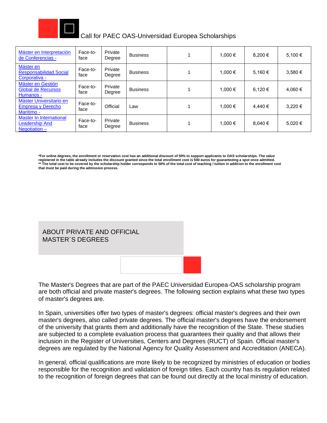

| Máster en Interpretación<br>de Conferencias -                       | Face-to-<br>face | Private<br>Degree | <b>Business</b> | 1.000 € | 8.200 € | 5.100 € |
|---------------------------------------------------------------------|------------------|-------------------|-----------------|---------|---------|---------|
| Máster en<br><b>Responsabilidad Social</b><br>Corporativa -         | Face-to-<br>face | Private<br>Degree | <b>Business</b> | 1.000 € | 5.160 € | 3.580 € |
| Máster en Gestión<br><b>Global de Recursos</b><br>Humanos -         | Face-to-<br>face | Private<br>Degree | <b>Business</b> | 1.000 € | 6.120 € | 4.060 € |
| Máster Universitario en<br>Empresa y Derecho<br>Marítimo -          | Face-to-<br>face | Official          | Law             | 1.000 € | 4.440 € | 3.220 € |
| Master In International<br><b>Leadership And</b><br>Negotiation $-$ | Face-to-<br>face | Private<br>Degree | <b>Business</b> | 1.000 € | 8.040 € | 5.020 € |

**\*For online degrees, the enrollment or reservation cost has an additional discount of 50% to support applicants to OAS scholarships. The value**  registered in the table already includes the discount granted since the total enrollment cost is 500 euros for guaranteeing a spot once admitted.<br>\*\* The total cost to be covered by the scholarship holder corresponds to 50% **that must be paid during the admission process.** 



The Master's Degrees that are part of the PAEC Universidad Europea-OAS scholarship program are both official and private master's degrees. The following section explains what these two types of master's degrees are.

In Spain, universities offer two types of master's degrees: official master's degrees and their own master's degrees, also called private degrees. The official master's degrees have the endorsement of the university that grants them and additionally have the recognition of the State. These studies are subjected to a complete evaluation process that guarantees their quality and that allows their inclusion in the Register of Universities, Centers and Degrees (RUCT) of Spain. Official master's degrees are regulated by the National Agency for Quality Assessment and Accreditation (ANECA).

In general, official qualifications are more likely to be recognized by ministries of education or bodies responsible for the recognition and validation of foreign titles. Each country has its regulation related to the recognition of foreign degrees that can be found out directly at the local ministry of education.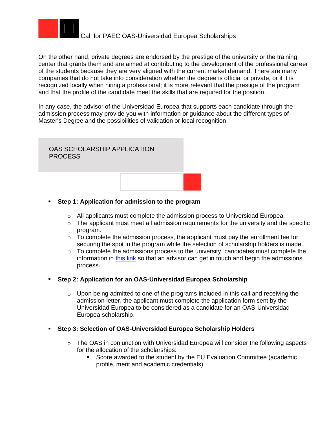

On the other hand, private degrees are endorsed by the prestige of the university or the training center that grants them and are aimed at contributing to the development of the professional career of the students because they are very aligned with the current market demand. There are many companies that do not take into consideration whether the degree is official or private, or if it is recognized locally when hiring a professional; it is more relevant that the prestige of the program and that the profile of the candidate meet the skills that are required for the position.

In any case, the advisor of the Universidad Europea that supports each candidate through the admission process may provide you with information or guidance about the different types of Master's Degree and the possibilities of validation or local recognition.



- **Step 1: Application for admission to the program**
	- $\circ$  All applicants must complete the admission process to Universidad Europea.
	- $\circ$  The applicant must meet all admission requirements for the university and the specific program.
	- $\circ$  To complete the admission process, the applicant must pay the enrollment fee for securing the spot in the program while the selection of scholarship holders is made.
	- $\circ$  To complete the admissions process to the university, candidates must complete the information in [this link](https://estudiar.universidadeuropea.com/becas-oea-latinoamerica/?utm_source=oea&utm_medium=referral&utm_campaign=BECAS_OEA&utm_content=partnership&uecrm=7017U000000Li7KQAS) so that an advisor can get in touch and begin the admissions process.

#### ▪ **Step 2: Application for an OAS-Universidad Europea Scholarship**

- $\circ$  Upon being admitted to one of the programs included in this call and receiving the admission letter, the applicant must complete the application form sent by the Universidad Europea to be considered as a candidate for an OAS-Universidad Europea scholarship.
- **Step 3: Selection of OAS-Universidad Europea Scholarship Holders** 
	- o The OAS in conjunction with Universidad Europea will consider the following aspects for the allocation of the scholarships:
		- Score awarded to the student by the EU Evaluation Committee (academic profile, merit and academic credentials).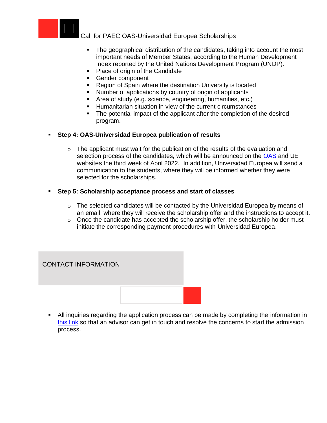

- **•** The geographical distribution of the candidates, taking into account the most important needs of Member States, according to the Human Development Index reported by the United Nations Development Program (UNDP).
- Place of origin of the Candidate
- Gender component
- Region of Spain where the destination University is located
- Number of applications by country of origin of applicants
- Area of study (e.g. science, engineering, humanities, etc.)
- Humanitarian situation in view of the current circumstances
- The potential impact of the applicant after the completion of the desired program.

### ▪ **Step 4: OAS-Universidad Europea publication of results**

 $\circ$  The applicant must wait for the publication of the results of the evaluation and selection process of the candidates, which will be announced on the [OAS a](http://www.oas.org/en/scholarships/)nd UE websites the third week of April 2022. In addition, Universidad Europea will send a communication to the students, where they will be informed whether they were selected for the scholarships.

### ▪ **Step 5: Scholarship acceptance process and start of classes**

- $\circ$  The selected candidates will be contacted by the Universidad Europea by means of an email, where they will receive the scholarship offer and the instructions to accept it.
- $\circ$  Once the candidate has accepted the scholarship offer, the scholarship holder must initiate the corresponding payment procedures with Universidad Europea.

# CONTACT INFORMATION



**E** All inquiries regarding the application process can be made by completing the information in [this link](https://estudiar.universidadeuropea.com/becas-oea-latinoamerica/?utm_source=oea&utm_medium=referral&utm_campaign=BECAS_OEA&utm_content=partnership&uecrm=7017U000000Li7KQAS) so that an advisor can get in touch and resolve the concerns to start the admission process.